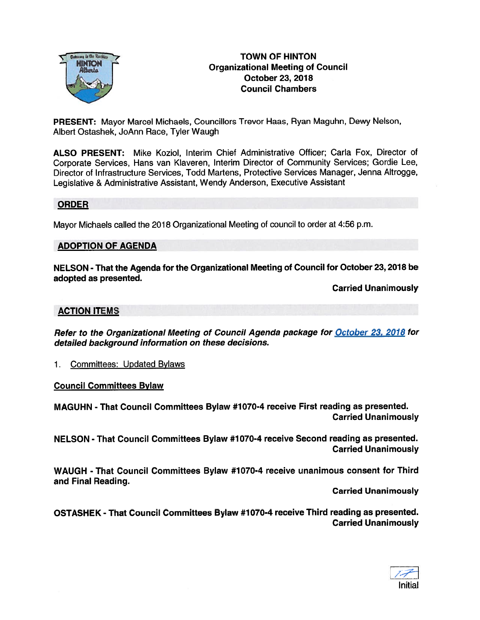

# TOWN OF HINTON Organizational Meeting of Council October 23, 2018 Council Chambers

PRESENT: Mayor Marcel Michaels, Councillors Trevor Haas, Ryan Maguhn, Dewy Nelson, Albert Ostashek, JoAnn Race, Tyler Waugh

ALSO PRESENT: Mike Koziol, Interim Chief Administrative Officer; Carla Fox, Director of Corporate Services, Hans van Klaveren, Interim Director of Community Services; Gordie Lee, Director of Infrastructure Services, Todd Martens, Protective Services Manager, Jenna Altrogge, Legislative & Administrative Assistant, Wendy Anderson, Executive Assistant

### ORDER

Mayor Michaels called the <sup>2018</sup> Organizational Meeting of council to order at 4:56 p.m.

### ADOPTION OF AGENDA

NELSON - That the Agenda for the Organizational Meeting of Council for October 23, <sup>2018</sup> be adopted as presented.

Carried Unanimously

# ACTION ITEMS

Refer to the Organizational Meeting of Council Agenda package for October 23. <sup>2018</sup> for detailed background information on these decisions.

1. Committees: Updated Bylaws

Council Committees Bylaw

MAGUHN -That Council Committees Bylaw #1070-4 receive First reading as presented. Carried Unanimously

NELSON - That Council Committees Bylaw #1070-4 receive Second reading as presented. Carried Unanimously

WAUGH - That Council Committees Bylaw #1070-4 receive unanimous consent for Third and Final Reading.

Carried Unanimously

OSTASHEK - That Council Committees Bylaw #1070-4 receive Third reading as presented. Carried Unanimously

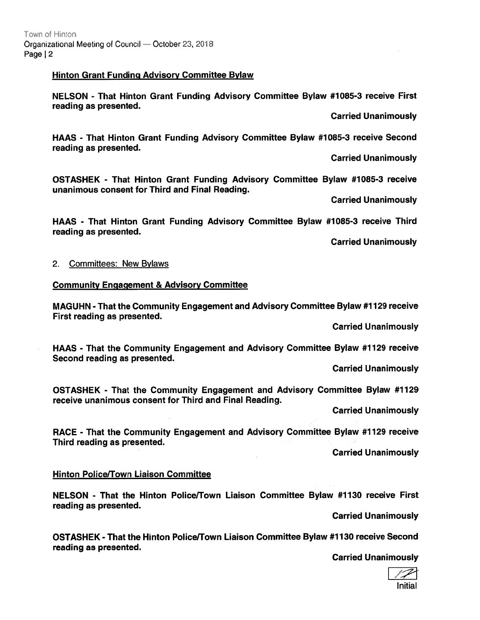#### Hinton Grant Funding Advisory Committee Bylaw

NELSON - That Hinton Grant Funding Advisory Committee Bylaw #1085-3 receive First reading as presented.

Carried Unanimously

HAAS - That Hinton Grant Funding Advisory Committee Bylaw #1085-3 receive Second reading as presented.

Carried Unanimously

OSTASHEK - That Hinton Grant Funding Advisory Committee Bylaw #7085-3 receive unanimous consent for Third and Final Reading.

Carried Unanimously

HAAS - That Hinton Grant Funding Advisory Committee Bylaw #1085-3 receive Third reading as presented.

Carried Unanimously

### 2. Committees: New Bylaws

#### Community Engagement & Advisory Committee

MAGUHN -That the Community Engagement and Advisory Committee Bylaw #1129 receive First reading as presented.

Carried Unanimously

HAAS - That the Community Engagement and Advisory Committee Bylaw #1129 receive Second reading as presented.

Carried Unanimously

OSTASHEK - That the Community Engagement and Advisory Committee Bylaw #1729 receive unanimous consent for Third and Final Reading.

Carried Unanimously

RACE - That the Community Engagement and Advisory Committee Bylaw #1129 receive Third reading as presented.

Carried Unanimously

#### Hinton Police/Town Liaison Committee

NELSON - That the Hinton Police/Town Liaison Committee Bylaw #1130 receive First reading as presented.

Carried Unanimously

OSTASHEK - That the Hinton Police/Town Liaison Committee Bylaw #1130 receive Second reading as presented.

Carried Unanimously

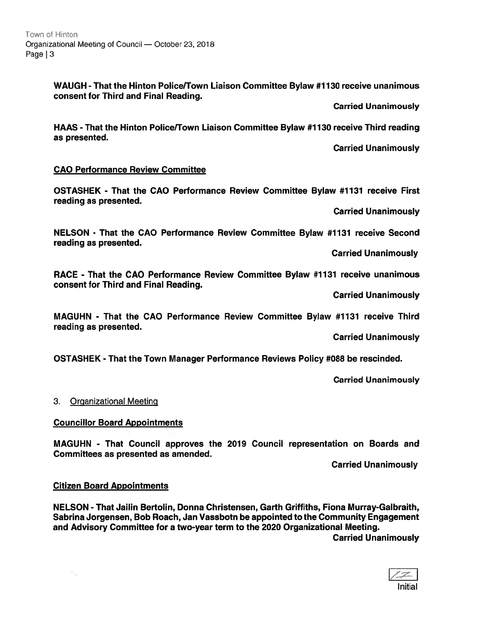WAUGH - That the Hinton Police/Town Liaison Committee Bylaw #1 130 receive unanimous consent for Third and Final Reading.

Carried Unanimously

HAAS -That the Hinton Police/Town Liaison Committee Bylaw #1130 receive Third reading as presented.

Carried Unanimously

# CAO Performance Review Committee

OSTASHEK - That the CAO Performance Review Committee Bylaw #1131 receive First reading as presented.

Carried Unanimously

NELSON - That the CAO Performance Review Committee Bylaw #1131 receive Second reading as presented.

Carried Unanimously

RACE - That the CAO Performance Review Committee Bylaw #1131 receive unanimous consent for Third and Final Reading.

Carried Unanimously

MAGUHN - That the CAC Performance Review Committee Bylaw #1131 receive Third reading as presented.

Carried Unanimously

OSTASHEK - That the Town Manager Performance Reviews Policy #088 be rescinded.

Carried Unanimously

# 3. Organizational Meeting

# **Councillor Board Appointments**

MAGUHN - That Council approves the 2019 Council representation on Boards and Committees as presented as amended.

Carried Unanimously

# Citizen Board Appointments

 $\sim$ 

NELSON -That Jailin Bertolin, Donna Christensen, Garth Griffiths, Fiona Murray-Galbraith, Sabrina Jorgensen, Bob Roach, Jan Vassbotn be appointed to the Community Engagement and Advisory Committee for <sup>a</sup> two-year term to the 2020 Organizational Meeting. Carried Unanimously